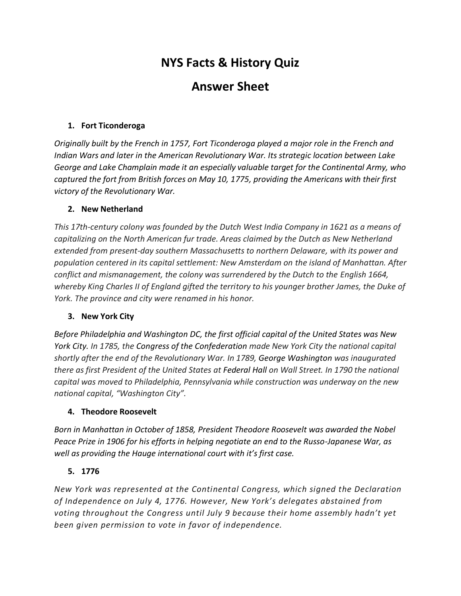# **NYS Facts & History Quiz**

## **Answer Sheet**

## **1. Fort Ticonderoga**

*Originally built by the French in 1757, Fort Ticonderoga played a major role in the French and Indian Wars and later in the American Revolutionary War. Its strategic location between Lake George and Lake Champlain made it an especially valuable target for the Continental Army, who captured the fort from British forces on May 10, 1775, providing the Americans with their first victory of the Revolutionary War.* 

## **2. New Netherland**

*This 17th-century colony was founded by the Dutch West India Company in 1621 as a means of capitalizing on the North American fur trade. Areas claimed by the Dutch as New Netherland extended from present-day southern Massachusetts to northern Delaware, with its power and population centered in its capital settlement: New Amsterdam on the island of Manhattan. After conflict and mismanagement, the colony was surrendered by the Dutch to the English 1664, whereby King Charles II of England gifted the territory to his younger brother James, the Duke of York. The province and city were renamed in his honor.* 

## **3. New York City**

*Before Philadelphia and Washington DC, the first official capital of the United States was New York City. In 1785, the Congress of the Confederation made New York City the national capital shortly after the end of the Revolutionary War. In 1789, George Washington was inaugurated there as first President of the United States at Federal Hall on Wall Street. In 1790 the national capital was moved to Philadelphia, Pennsylvania while construction was underway on the new national capital, "Washington City".*

## **4. Theodore Roosevelt**

*Born in Manhattan in October of 1858, President Theodore Roosevelt was awarded the Nobel Peace Prize in 1906 for his efforts in helping negotiate an end to the Russo-Japanese War, as well as providing the Hauge international court with it's first case.* 

## **5. 1776**

*New York was represented at the Continental Congress, which signed the Declaration of Independence on July 4, 1776. However, New York's delegates abstained from voting throughout the Congress until July 9 because their home assembly hadn't yet been given permission to vote in favor of independence.*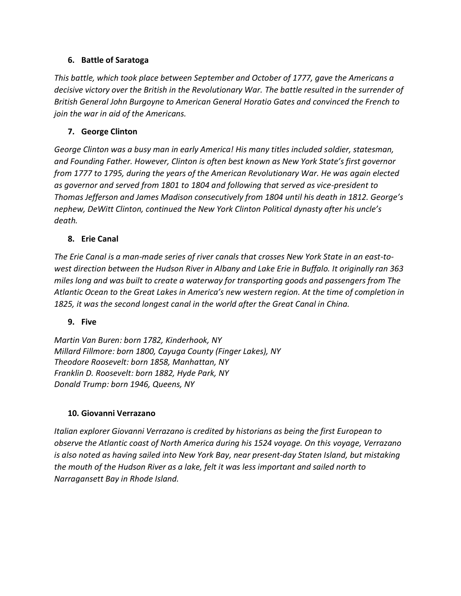## **6. Battle of Saratoga**

*This battle, which took place between September and October of 1777, gave the Americans a decisive victory over the British in the Revolutionary War. The battle resulted in the surrender of British General John Burgoyne to American General Horatio Gates and convinced the French to join the war in aid of the Americans.* 

## **7. George Clinton**

*George Clinton was a busy man in early America! His many titles included soldier, statesman, and Founding Father. However, Clinton is often best known as New York State's first governor from 1777 to 1795, during the years of the American Revolutionary War. He was again elected as governor and served from 1801 to 1804 and following that served as vice-president to Thomas Jefferson and James Madison consecutively from 1804 until his death in 1812. George's nephew, DeWitt Clinton, continued the New York Clinton Political dynasty after his uncle's death.* 

## **8. Erie Canal**

*The Erie Canal is a man-made series of river canals that crosses New York State in an east-towest direction between the Hudson River in Albany and Lake Erie in Buffalo. It originally ran 363 miles long and was built to create a waterway for transporting goods and passengers from The Atlantic Ocean to the Great Lakes in America's new western region. At the time of completion in*  1825, it was the second longest canal in the world after the Great Canal in China.

## **9. Five**

*Martin Van Buren: born 1782, Kinderhook, NY Millard Fillmore: born 1800, Cayuga County (Finger Lakes), NY Theodore Roosevelt: born 1858, Manhattan, NY Franklin D. Roosevelt: born 1882, Hyde Park, NY Donald Trump: born 1946, Queens, NY*

## **10. Giovanni Verrazano**

*Italian explorer Giovanni Verrazano is credited by historians as being the first European to observe the Atlantic coast of North America during his 1524 voyage. On this voyage, Verrazano is also noted as having sailed into New York Bay, near present-day Staten Island, but mistaking the mouth of the Hudson River as a lake, felt it was less important and sailed north to Narragansett Bay in Rhode Island.*